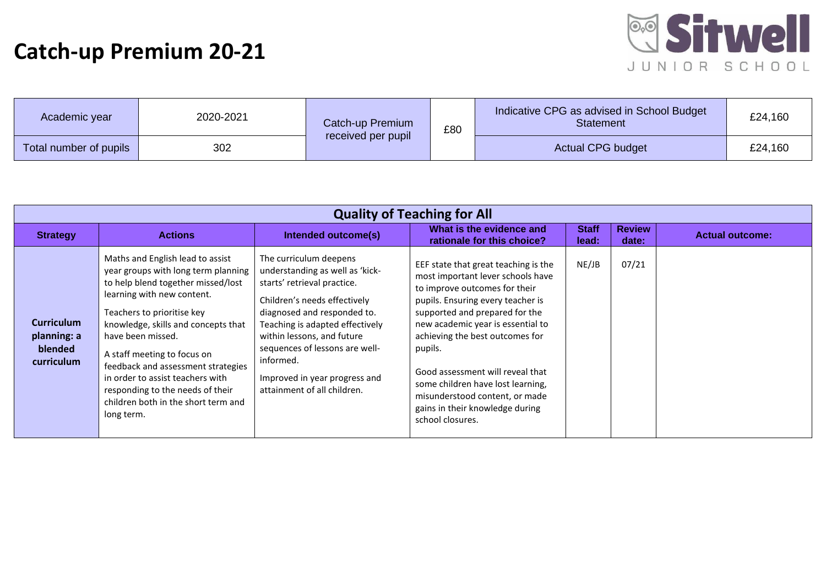## **Catch-up Premium 20-21**



| Academic year          | 2020-2021 | Catch-up Premium<br>£80 |  | Indicative CPG as advised in School Budget<br><b>Statement</b> | £24,160 |
|------------------------|-----------|-------------------------|--|----------------------------------------------------------------|---------|
| Total number of pupils | 302       | received per pupil      |  | <b>Actual CPG budget</b>                                       | £24,160 |

| <b>Quality of Teaching for All</b>                        |                                                                                                                                                                                                                                                                                                                                                                                                                                         |                                                                                                                                                                                                                                                                                                                                         |                                                                                                                                                                                                                                                                                                                                                                                                                                        |                       |                        |                        |  |
|-----------------------------------------------------------|-----------------------------------------------------------------------------------------------------------------------------------------------------------------------------------------------------------------------------------------------------------------------------------------------------------------------------------------------------------------------------------------------------------------------------------------|-----------------------------------------------------------------------------------------------------------------------------------------------------------------------------------------------------------------------------------------------------------------------------------------------------------------------------------------|----------------------------------------------------------------------------------------------------------------------------------------------------------------------------------------------------------------------------------------------------------------------------------------------------------------------------------------------------------------------------------------------------------------------------------------|-----------------------|------------------------|------------------------|--|
| <b>Strategy</b>                                           | <b>Actions</b>                                                                                                                                                                                                                                                                                                                                                                                                                          | Intended outcome(s)                                                                                                                                                                                                                                                                                                                     | What is the evidence and<br>rationale for this choice?                                                                                                                                                                                                                                                                                                                                                                                 | <b>Staff</b><br>lead: | <b>Review</b><br>date: | <b>Actual outcome:</b> |  |
| <b>Curriculum</b><br>planning: a<br>blended<br>curriculum | Maths and English lead to assist<br>year groups with long term planning<br>to help blend together missed/lost<br>learning with new content.<br>Teachers to prioritise key<br>knowledge, skills and concepts that<br>have been missed.<br>A staff meeting to focus on<br>feedback and assessment strategies<br>in order to assist teachers with<br>responding to the needs of their<br>children both in the short term and<br>long term. | The curriculum deepens<br>understanding as well as 'kick-<br>starts' retrieval practice.<br>Children's needs effectively<br>diagnosed and responded to.<br>Teaching is adapted effectively<br>within lessons, and future<br>sequences of lessons are well-<br>informed.<br>Improved in year progress and<br>attainment of all children. | EEF state that great teaching is the<br>most important lever schools have<br>to improve outcomes for their<br>pupils. Ensuring every teacher is<br>supported and prepared for the<br>new academic year is essential to<br>achieving the best outcomes for<br>pupils.<br>Good assessment will reveal that<br>some children have lost learning,<br>misunderstood content, or made<br>gains in their knowledge during<br>school closures. | NE/JB                 | 07/21                  |                        |  |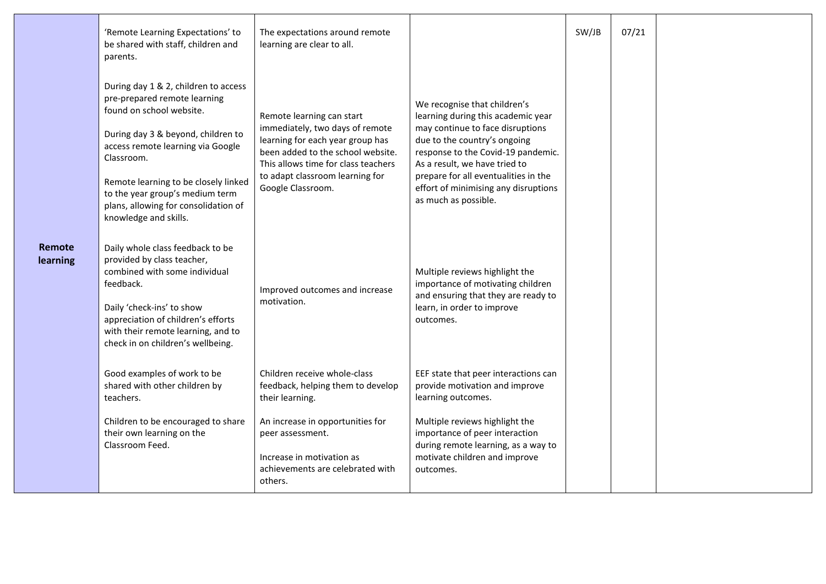|                    | 'Remote Learning Expectations' to<br>be shared with staff, children and<br>parents.                                                                                                                                                                                                                                                   | The expectations around remote<br>learning are clear to all.                                                                                                                                                                         |                                                                                                                                                                                                                                                                                                                       | SW/JB | 07/21 |  |
|--------------------|---------------------------------------------------------------------------------------------------------------------------------------------------------------------------------------------------------------------------------------------------------------------------------------------------------------------------------------|--------------------------------------------------------------------------------------------------------------------------------------------------------------------------------------------------------------------------------------|-----------------------------------------------------------------------------------------------------------------------------------------------------------------------------------------------------------------------------------------------------------------------------------------------------------------------|-------|-------|--|
|                    | During day 1 & 2, children to access<br>pre-prepared remote learning<br>found on school website.<br>During day 3 & beyond, children to<br>access remote learning via Google<br>Classroom.<br>Remote learning to be closely linked<br>to the year group's medium term<br>plans, allowing for consolidation of<br>knowledge and skills. | Remote learning can start<br>immediately, two days of remote<br>learning for each year group has<br>been added to the school website.<br>This allows time for class teachers<br>to adapt classroom learning for<br>Google Classroom. | We recognise that children's<br>learning during this academic year<br>may continue to face disruptions<br>due to the country's ongoing<br>response to the Covid-19 pandemic.<br>As a result, we have tried to<br>prepare for all eventualities in the<br>effort of minimising any disruptions<br>as much as possible. |       |       |  |
| Remote<br>learning | Daily whole class feedback to be<br>provided by class teacher,<br>combined with some individual<br>feedback.<br>Daily 'check-ins' to show<br>appreciation of children's efforts<br>with their remote learning, and to<br>check in on children's wellbeing.                                                                            | Improved outcomes and increase<br>motivation.                                                                                                                                                                                        | Multiple reviews highlight the<br>importance of motivating children<br>and ensuring that they are ready to<br>learn, in order to improve<br>outcomes.                                                                                                                                                                 |       |       |  |
|                    | Good examples of work to be<br>shared with other children by<br>teachers.                                                                                                                                                                                                                                                             | Children receive whole-class<br>feedback, helping them to develop<br>their learning.                                                                                                                                                 | EEF state that peer interactions can<br>provide motivation and improve<br>learning outcomes.                                                                                                                                                                                                                          |       |       |  |
|                    | Children to be encouraged to share<br>their own learning on the<br>Classroom Feed.                                                                                                                                                                                                                                                    | An increase in opportunities for<br>peer assessment.<br>Increase in motivation as<br>achievements are celebrated with<br>others.                                                                                                     | Multiple reviews highlight the<br>importance of peer interaction<br>during remote learning, as a way to<br>motivate children and improve<br>outcomes.                                                                                                                                                                 |       |       |  |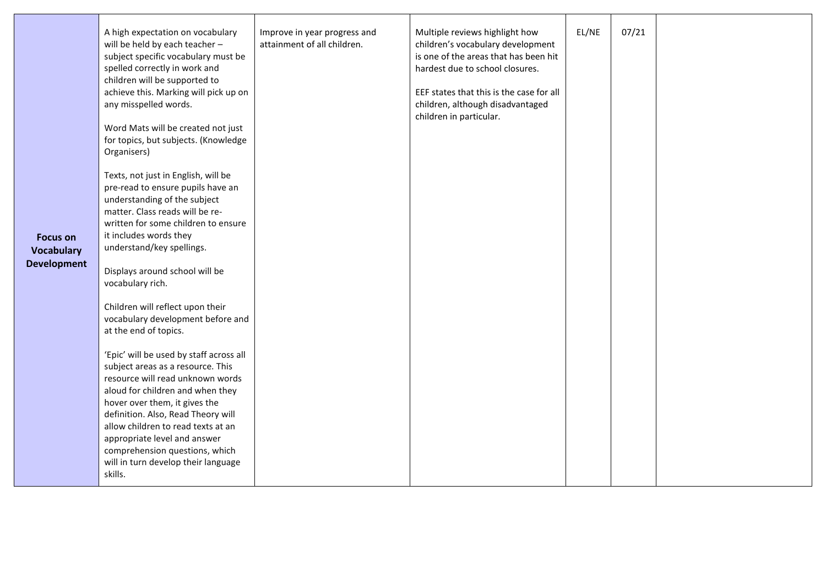| <b>Focus on</b><br><b>Vocabulary</b><br><b>Development</b> | A high expectation on vocabulary<br>will be held by each teacher -<br>subject specific vocabulary must be<br>spelled correctly in work and<br>children will be supported to<br>achieve this. Marking will pick up on<br>any misspelled words.<br>Word Mats will be created not just<br>for topics, but subjects. (Knowledge<br>Organisers)<br>Texts, not just in English, will be<br>pre-read to ensure pupils have an<br>understanding of the subject<br>matter. Class reads will be re-<br>written for some children to ensure<br>it includes words they<br>understand/key spellings.<br>Displays around school will be<br>vocabulary rich.<br>Children will reflect upon their<br>vocabulary development before and<br>at the end of topics.<br>'Epic' will be used by staff across all<br>subject areas as a resource. This<br>resource will read unknown words<br>aloud for children and when they<br>hover over them, it gives the<br>definition. Also, Read Theory will<br>allow children to read texts at an<br>appropriate level and answer | Improve in year progress and<br>attainment of all children. | Multiple reviews highlight how<br>children's vocabulary development<br>is one of the areas that has been hit<br>hardest due to school closures.<br>EEF states that this is the case for all<br>children, although disadvantaged<br>children in particular. | EL/NE | 07/21 |  |
|------------------------------------------------------------|------------------------------------------------------------------------------------------------------------------------------------------------------------------------------------------------------------------------------------------------------------------------------------------------------------------------------------------------------------------------------------------------------------------------------------------------------------------------------------------------------------------------------------------------------------------------------------------------------------------------------------------------------------------------------------------------------------------------------------------------------------------------------------------------------------------------------------------------------------------------------------------------------------------------------------------------------------------------------------------------------------------------------------------------------|-------------------------------------------------------------|------------------------------------------------------------------------------------------------------------------------------------------------------------------------------------------------------------------------------------------------------------|-------|-------|--|
|                                                            | comprehension questions, which<br>will in turn develop their language<br>skills.                                                                                                                                                                                                                                                                                                                                                                                                                                                                                                                                                                                                                                                                                                                                                                                                                                                                                                                                                                     |                                                             |                                                                                                                                                                                                                                                            |       |       |  |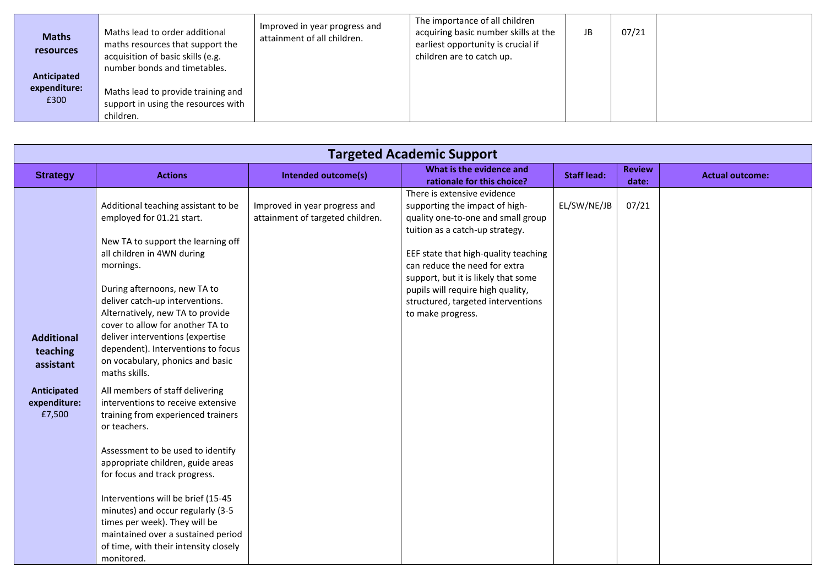| <b>Maths</b><br><b>resources</b><br>Anticipated<br>expenditure:<br>£300 | Maths lead to order additional<br>maths resources that support the<br>acquisition of basic skills (e.g.<br>number bonds and timetables.<br>Maths lead to provide training and<br>support in using the resources with<br>children. | Improved in year progress and<br>attainment of all children. | The importance of all children<br>acquiring basic number skills at the<br>earliest opportunity is crucial if<br>children are to catch up. | JB | 07/21 |  |
|-------------------------------------------------------------------------|-----------------------------------------------------------------------------------------------------------------------------------------------------------------------------------------------------------------------------------|--------------------------------------------------------------|-------------------------------------------------------------------------------------------------------------------------------------------|----|-------|--|
|-------------------------------------------------------------------------|-----------------------------------------------------------------------------------------------------------------------------------------------------------------------------------------------------------------------------------|--------------------------------------------------------------|-------------------------------------------------------------------------------------------------------------------------------------------|----|-------|--|

| <b>Targeted Academic Support</b>                                                    |                                                                                                                                                                                                                                                                                                                                                                                                                                                                                                                                                                                                                                                                                                                                                  |                                                                   |                                                                                                                                                                                                                                                                                                                                                        |                    |                        |                        |
|-------------------------------------------------------------------------------------|--------------------------------------------------------------------------------------------------------------------------------------------------------------------------------------------------------------------------------------------------------------------------------------------------------------------------------------------------------------------------------------------------------------------------------------------------------------------------------------------------------------------------------------------------------------------------------------------------------------------------------------------------------------------------------------------------------------------------------------------------|-------------------------------------------------------------------|--------------------------------------------------------------------------------------------------------------------------------------------------------------------------------------------------------------------------------------------------------------------------------------------------------------------------------------------------------|--------------------|------------------------|------------------------|
| <b>Strategy</b>                                                                     | <b>Actions</b>                                                                                                                                                                                                                                                                                                                                                                                                                                                                                                                                                                                                                                                                                                                                   | <b>Intended outcome(s)</b>                                        | What is the evidence and<br>rationale for this choice?                                                                                                                                                                                                                                                                                                 | <b>Staff lead:</b> | <b>Review</b><br>date: | <b>Actual outcome:</b> |
| <b>Additional</b><br>teaching<br>assistant<br>Anticipated<br>expenditure:<br>£7,500 | Additional teaching assistant to be<br>employed for 01.21 start.<br>New TA to support the learning off<br>all children in 4WN during<br>mornings.<br>During afternoons, new TA to<br>deliver catch-up interventions.<br>Alternatively, new TA to provide<br>cover to allow for another TA to<br>deliver interventions (expertise<br>dependent). Interventions to focus<br>on vocabulary, phonics and basic<br>maths skills.<br>All members of staff delivering<br>interventions to receive extensive<br>training from experienced trainers<br>or teachers.<br>Assessment to be used to identify<br>appropriate children, guide areas<br>for focus and track progress.<br>Interventions will be brief (15-45<br>minutes) and occur regularly (3-5 | Improved in year progress and<br>attainment of targeted children. | There is extensive evidence<br>supporting the impact of high-<br>quality one-to-one and small group<br>tuition as a catch-up strategy.<br>EEF state that high-quality teaching<br>can reduce the need for extra<br>support, but it is likely that some<br>pupils will require high quality,<br>structured, targeted interventions<br>to make progress. | EL/SW/NE/JB        | 07/21                  |                        |
|                                                                                     | times per week). They will be<br>maintained over a sustained period<br>of time, with their intensity closely<br>monitored.                                                                                                                                                                                                                                                                                                                                                                                                                                                                                                                                                                                                                       |                                                                   |                                                                                                                                                                                                                                                                                                                                                        |                    |                        |                        |